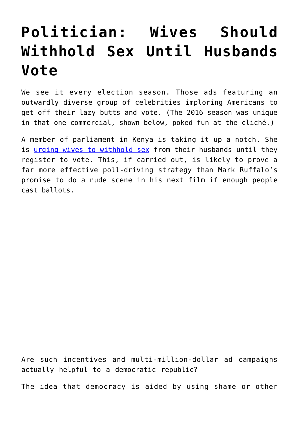## **[Politician: Wives Should](https://intellectualtakeout.org/2017/01/politician-wives-should-withhold-sex-until-husbands-vote/) [Withhold Sex Until Husbands](https://intellectualtakeout.org/2017/01/politician-wives-should-withhold-sex-until-husbands-vote/) [Vote](https://intellectualtakeout.org/2017/01/politician-wives-should-withhold-sex-until-husbands-vote/)**

We see it every election season. Those ads featuring an outwardly diverse group of celebrities imploring Americans to get off their lazy butts and vote. (The 2016 season was unique in that one commercial, shown below, poked fun at the cliché.)

A member of parliament in Kenya is taking it up a notch. She is [urging wives to withhold sex](http://www.bbc.com/news/world-africa-38649235) from their husbands until they register to vote. This, if carried out, is likely to prove a far more effective poll-driving strategy than Mark Ruffalo's promise to do a nude scene in his next film if enough people cast ballots.

Are such incentives and multi-million-dollar ad campaigns actually helpful to a democratic republic?

The idea that democracy is aided by using shame or other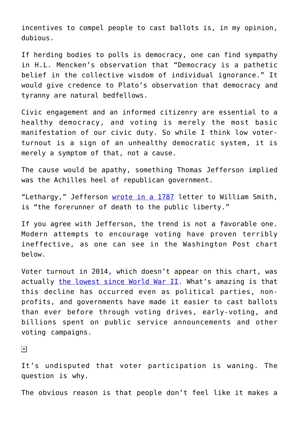incentives to compel people to cast ballots is, in my opinion, dubious.

If herding bodies to polls is democracy, one can find sympathy in H.L. Mencken's observation that "Democracy is a pathetic belief in the collective wisdom of individual ignorance." It would give credence to Plato's observation that democracy and tyranny are natural bedfellows.

Civic engagement and an informed citizenry are essential to a healthy democracy, and voting is merely the most basic manifestation of our civic duty. So while I think low voterturnout is a sign of an unhealthy democratic system, it is merely a symptom of that, not a cause.

The cause would be apathy, something Thomas Jefferson implied was the Achilles heel of republican government.

"Lethargy," Jefferson [wrote in a 1787](https://www.loc.gov/exhibits/jefferson/105.html) letter to William Smith, is "the forerunner of death to the public liberty."

If you agree with Jefferson, the trend is not a favorable one. Modern attempts to encourage voting have proven terribly ineffective, as one can see in the Washington Post chart below.

Voter turnout in 2014, which doesn't appear on this chart, was actually [the lowest since World War II](https://www.washingtonpost.com/news/post-politics/wp/2014/11/10/voter-turnout-in-2014-was-the-lowest-since-wwii/?utm_term=.161785eea207). What's amazing is that this decline has occurred even as political parties, nonprofits, and governments have made it easier to cast ballots than ever before through voting drives, early-voting, and billions spent on public service announcements and other voting campaigns.

 $\pmb{\times}$ 

It's undisputed that voter participation is waning. The question is why.

The obvious reason is that people don't feel like it makes a